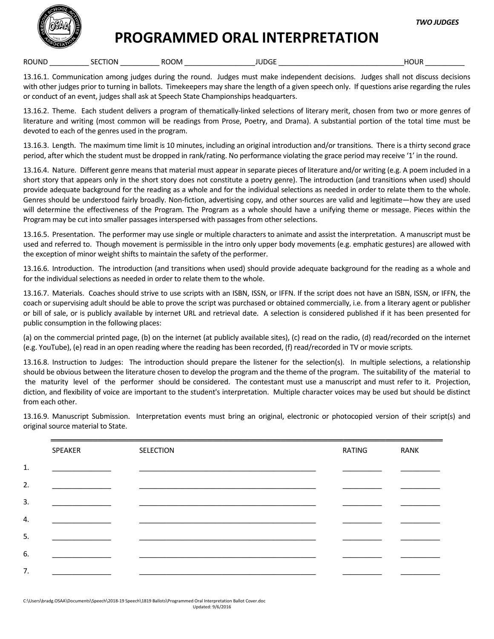

## **PROGRAMMED ORAL INTERPRETATION**

ROUND \_\_\_\_\_\_\_\_\_\_ SECTION \_\_\_\_\_\_\_\_\_\_ ROOM \_\_\_\_\_\_\_\_\_\_\_\_\_\_\_\_\_\_ JUDGE \_\_\_\_\_\_\_\_\_\_\_\_\_\_\_\_\_\_\_\_\_\_\_\_\_\_\_\_\_\_\_\_HOUR \_\_\_\_\_\_\_\_\_\_

13.16.1. Communication among judges during the round. Judges must make independent decisions. Judges shall not discuss decisions with other judges prior to turning in ballots. Timekeepers may share the length of a given speech only. If questions arise regarding the rules or conduct of an event, judges shall ask at Speech State Championships headquarters.

13.16.2. Theme. Each student delivers a program of thematically-linked selections of literary merit, chosen from two or more genres of literature and writing (most common will be readings from Prose, Poetry, and Drama). A substantial portion of the total time must be devoted to each of the genres used in the program.

13.16.3. Length. The maximum time limit is 10 minutes, including an original introduction and/or transitions. There is a thirty second grace period, after which the student must be dropped in rank/rating. No performance violating the grace period may receive '1' in the round.

13.16.4. Nature. Different genre means that material must appear in separate pieces of literature and/or writing (e.g. A poem included in a short story that appears only in the short story does not constitute a poetry genre). The introduction (and transitions when used) should provide adequate background for the reading as a whole and for the individual selections as needed in order to relate them to the whole. Genres should be understood fairly broadly. Non-fiction, advertising copy, and other sources are valid and legitimate—how they are used will determine the effectiveness of the Program. The Program as a whole should have a unifying theme or message. Pieces within the Program may be cut into smaller passages interspersed with passages from other selections.

13.16.5. Presentation. The performer may use single or multiple characters to animate and assist the interpretation. A manuscript must be used and referred to. Though movement is permissible in the intro only upper body movements (e.g. emphatic gestures) are allowed with the exception of minor weight shifts to maintain the safety of the performer.

13.16.6. Introduction. The introduction (and transitions when used) should provide adequate background for the reading as a whole and for the individual selections as needed in order to relate them to the whole.

13.16.7. Materials. Coaches should strive to use scripts with an ISBN, ISSN, or IFFN. If the script does not have an ISBN, ISSN, or IFFN, the coach or supervising adult should be able to prove the script was purchased or obtained commercially, i.e. from a literary agent or publisher or bill of sale, or is publicly available by internet URL and retrieval date. A selection is considered published if it has been presented for public consumption in the following places:

(a) on the commercial printed page, (b) on the internet (at publicly available sites), (c) read on the radio, (d) read/recorded on the internet (e.g. YouTube), (e) read in an open reading where the reading has been recorded, (f) read/recorded in TV or movie scripts.

13.16.8. Instruction to Judges: The introduction should prepare the listener for the selection(s). In multiple selections, a relationship should be obvious between the literature chosen to develop the program and the theme of the program. The suitability of the material to the maturity level of the performer should be considered. The contestant must use a manuscript and must refer to it. Projection, diction, and flexibility of voice are important to the student's interpretation. Multiple character voices may be used but should be distinct from each other.

13.16.9. Manuscript Submission. Interpretation events must bring an original, electronic or photocopied version of their script(s) and original source material to State.

|    | SPEAKER | SELECTION | RATING | <b>RANK</b> |
|----|---------|-----------|--------|-------------|
| 1. |         |           |        |             |
| 2. |         |           |        |             |
| 3. |         |           |        |             |
| 4. |         |           |        |             |
| 5. |         |           |        |             |
| 6. |         |           |        |             |
| 7. |         |           |        |             |
|    |         |           |        |             |

C:\Users\bradg.OSAA\Documents\Speech\2018‐19 Speech\1819 Ballots\Programmed Oral Interpretation Ballot Cover.doc Updated: 9/6/2016